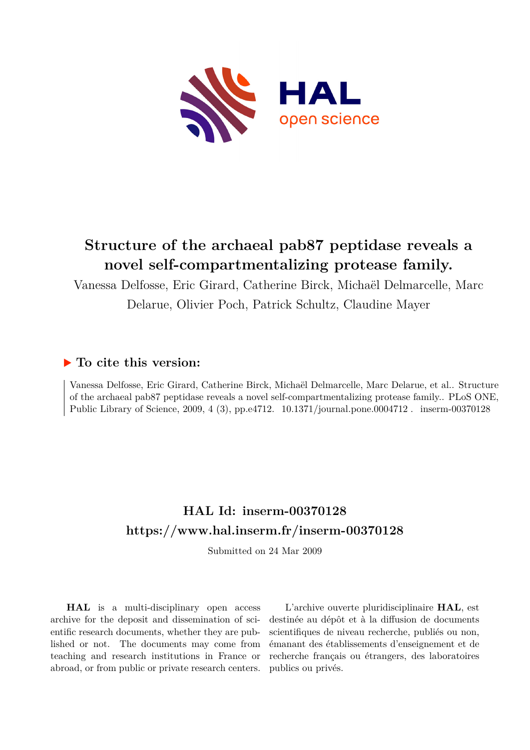

# **Structure of the archaeal pab87 peptidase reveals a novel self-compartmentalizing protease family.**

Vanessa Delfosse, Eric Girard, Catherine Birck, Michaël Delmarcelle, Marc Delarue, Olivier Poch, Patrick Schultz, Claudine Mayer

## **To cite this version:**

Vanessa Delfosse, Eric Girard, Catherine Birck, Michaël Delmarcelle, Marc Delarue, et al.. Structure of the archaeal pab87 peptidase reveals a novel self-compartmentalizing protease family.. PLoS ONE, Public Library of Science, 2009, 4 (3), pp.e4712. 10.1371/journal.pone.0004712. inserm-00370128

## **HAL Id: inserm-00370128 <https://www.hal.inserm.fr/inserm-00370128>**

Submitted on 24 Mar 2009

**HAL** is a multi-disciplinary open access archive for the deposit and dissemination of scientific research documents, whether they are published or not. The documents may come from teaching and research institutions in France or abroad, or from public or private research centers.

L'archive ouverte pluridisciplinaire **HAL**, est destinée au dépôt et à la diffusion de documents scientifiques de niveau recherche, publiés ou non, émanant des établissements d'enseignement et de recherche français ou étrangers, des laboratoires publics ou privés.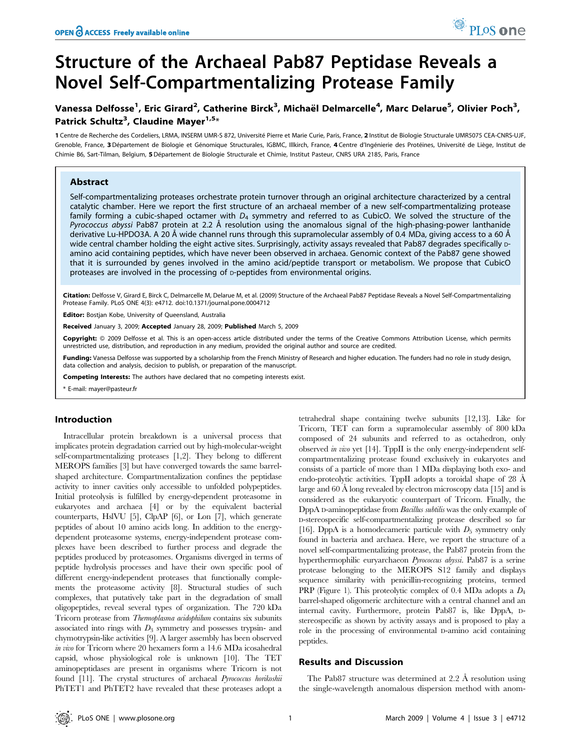# Structure of the Archaeal Pab87 Peptidase Reveals a Novel Self-Compartmentalizing Protease Family

## Vanessa Delfosse<sup>1</sup>, Eric Girard<sup>2</sup>, Catherine Birck<sup>3</sup>, Michaël Delmarcelle<sup>4</sup>, Marc Delarue<sup>5</sup>, Olivier Poch<sup>3</sup>, Patrick Schultz<sup>3</sup>, Claudine Mayer<sup>1,5\*</sup>

1 Centre de Recherche des Cordeliers, LRMA, INSERM UMR-S 872, Université Pierre et Marie Curie, Paris, France, 2 Institut de Biologie Structurale UMR5075 CEA-CNRS-UJF, Grenoble, France, 3 Département de Biologie et Génomique Structurales, IGBMC, Illkirch, France, 4 Centre d'Ingénierie des Protéines, Université de Liège, Institut de Chimie B6, Sart-Tilman, Belgium, 5 Département de Biologie Structurale et Chimie, Institut Pasteur, CNRS URA 2185, Paris, France

## Abstract

Self-compartmentalizing proteases orchestrate protein turnover through an original architecture characterized by a central catalytic chamber. Here we report the first structure of an archaeal member of a new self-compartmentalizing protease family forming a cubic-shaped octamer with  $D_4$  symmetry and referred to as CubicO. We solved the structure of the Pyrococcus abyssi Pab87 protein at 2.2 Å resolution using the anomalous signal of the high-phasing-power lanthanide derivative Lu-HPDO3A. A 20 Å wide channel runs through this supramolecular assembly of 0.4 MDa, giving access to a 60 Å wide central chamber holding the eight active sites. Surprisingly, activity assays revealed that Pab87 degrades specifically pamino acid containing peptides, which have never been observed in archaea. Genomic context of the Pab87 gene showed that it is surrounded by genes involved in the amino acid/peptide transport or metabolism. We propose that CubicO proteases are involved in the processing of p-peptides from environmental origins.

Citation: Delfosse V, Girard E, Birck C, Delmarcelle M, Delarue M, et al. (2009) Structure of the Archaeal Pab87 Peptidase Reveals a Novel Self-Compartmentalizing Protease Family. PLoS ONE 4(3): e4712. doi:10.1371/journal.pone.0004712

Editor: Bostjan Kobe, University of Queensland, Australia

Received January 3, 2009; Accepted January 28, 2009; Published March 5, 2009

Copyright: © 2009 Delfosse et al. This is an open-access article distributed under the terms of the Creative Commons Attribution License, which permits unrestricted use, distribution, and reproduction in any medium, provided the original author and source are credited.

Funding: Vanessa Delfosse was supported by a scholarship from the French Ministry of Research and higher education. The funders had no role in study design, data collection and analysis, decision to publish, or preparation of the manuscript.

Competing Interests: The authors have declared that no competing interests exist.

\* E-mail: mayer@pasteur.fr

## Introduction

Intracellular protein breakdown is a universal process that implicates protein degradation carried out by high-molecular-weight self-compartmentalizing proteases [1,2]. They belong to different MEROPS families [3] but have converged towards the same barrelshaped architecture. Compartmentalization confines the peptidase activity to inner cavities only accessible to unfolded polypeptides. Initial proteolysis is fulfilled by energy-dependent proteasome in eukaryotes and archaea [4] or by the equivalent bacterial counterparts, HslVU [5], ClpAP [6], or Lon [7], which generate peptides of about 10 amino acids long. In addition to the energydependent proteasome systems, energy-independent protease complexes have been described to further process and degrade the peptides produced by proteasomes. Organisms diverged in terms of peptide hydrolysis processes and have their own specific pool of different energy-independent proteases that functionally complements the proteasome activity [8]. Structural studies of such complexes, that putatively take part in the degradation of small oligopeptides, reveal several types of organization. The 720 kDa Tricorn protease from Thermoplasma acidophilum contains six subunits associated into rings with  $D_3$  symmetry and possesses trypsin- and chymotrypsin-like activities [9]. A larger assembly has been observed in vivo for Tricorn where 20 hexamers form a 14.6 MDa icosahedral capsid, whose physiological role is unknown [10]. The TET aminopeptidases are present in organisms where Tricorn is not found [11]. The crystal structures of archaeal *Pyrococcus horikoshii* PhTET1 and PhTET2 have revealed that these proteases adopt a

tetrahedral shape containing twelve subunits [12,13]. Like for Tricorn, TET can form a supramolecular assembly of 800 kDa composed of 24 subunits and referred to as octahedron, only observed in vivo yet [14]. TppII is the only energy-independent selfcompartmentalizing protease found exclusively in eukaryotes and consists of a particle of more than 1 MDa displaying both exo- and endo-proteolytic activities. TppII adopts a toroidal shape of 28 Å large and  $60 \text{ Å}$  long revealed by electron microscopy data [15] and is considered as the eukaryotic counterpart of Tricorn. Finally, the DppA D-aminopeptidase from Bacillus subtilis was the only example of D-stereospecific self-compartmentalizing protease described so far [16]. DppA is a homodecameric particule with  $D_5$  symmetry only found in bacteria and archaea. Here, we report the structure of a novel self-compartmentalizing protease, the Pab87 protein from the hyperthermophilic euryarchaeon Pyrococcus abyssi. Pab87 is a serine protease belonging to the MEROPS S12 family and displays sequence similarity with penicillin-recognizing proteins, termed PRP (Figure 1). This proteolytic complex of 0.4 MDa adopts a  $D_4$ barrel-shaped oligomeric architecture with a central channel and an internal cavity. Furthermore, protein Pab87 is, like DppA, Dstereospecific as shown by activity assays and is proposed to play a role in the processing of environmental D-amino acid containing peptides.

## Results and Discussion

The Pab87 structure was determined at  $2.2 \text{ Å}$  resolution using the single-wavelength anomalous dispersion method with anom-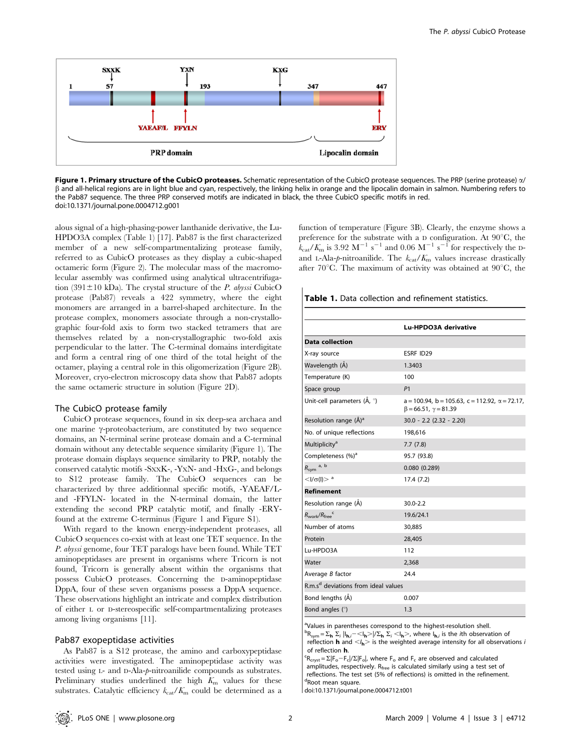

Figure 1. Primary structure of the CubicO proteases. Schematic representation of the CubicO protease sequences. The PRP (serine protease)  $\alpha$ / b and all-helical regions are in light blue and cyan, respectively, the linking helix in orange and the lipocalin domain in salmon. Numbering refers to the Pab87 sequence. The three PRP conserved motifs are indicated in black, the three CubicO specific motifs in red. doi:10.1371/journal.pone.0004712.g001

alous signal of a high-phasing-power lanthanide derivative, the Lu-HPDO3A complex (Table 1) [17]. Pab87 is the first characterized member of a new self-compartmentalizing protease family, referred to as CubicO proteases as they display a cubic-shaped octameric form (Figure 2). The molecular mass of the macromolecular assembly was confirmed using analytical ultracentrifugation (391 $\pm$ 10 kDa). The crystal structure of the *P. abyssi* CubicO protease (Pab87) reveals a 422 symmetry, where the eight monomers are arranged in a barrel-shaped architecture. In the protease complex, monomers associate through a non-crystallographic four-fold axis to form two stacked tetramers that are themselves related by a non-crystallographic two-fold axis perpendicular to the latter. The C-terminal domains interdigitate and form a central ring of one third of the total height of the octamer, playing a central role in this oligomerization (Figure 2B). Moreover, cryo-electron microscopy data show that Pab87 adopts the same octameric structure in solution (Figure 2D).

### The CubicO protease family

CubicO protease sequences, found in six deep-sea archaea and one marine  $\gamma$ -proteobacterium, are constituted by two sequence domains, an N-terminal serine protease domain and a C-terminal domain without any detectable sequence similarity (Figure 1). The protease domain displays sequence similarity to PRP, notably the conserved catalytic motifs -SXXK-, -YXN- and -HXG-, and belongs to S12 protease family. The CubicO sequences can be characterized by three additionnal specific motifs, -YAEAF/Land -FFYLN- located in the N-terminal domain, the latter extending the second PRP catalytic motif, and finally -ERYfound at the extreme C-terminus (Figure 1 and Figure S1).

With regard to the known energy-independent proteases, all CubicO sequences co-exist with at least one TET sequence. In the P. abyssi genome, four TET paralogs have been found. While TET aminopeptidases are present in organisms where Tricorn is not found, Tricorn is generally absent within the organisms that possess CubicO proteases. Concerning the D-aminopeptidase DppA, four of these seven organisms possess a DppA sequence. These observations highlight an intricate and complex distribution of either <sup>L</sup> or D-stereospecific self-compartmentalizing proteases among living organisms [11].

## Pab87 exopeptidase activities

As Pab87 is a S12 protease, the amino and carboxypeptidase activities were investigated. The aminopeptidase activity was tested using L- and D-Ala-p-nitroanilide compounds as substrates. Preliminary studies underlined the high  $K<sub>m</sub>$  values for these substrates. Catalytic efficiency  $k_{\text{cat}}/K_{\text{m}}$  could be determined as a

function of temperature (Figure 3B). Clearly, the enzyme shows a preference for the substrate with a D configuration. At  $90^{\circ}$ C, the  $k_{\text{cat}}/K_{\text{m}}$  is 3.92 M<sup>-1</sup> s<sup>-1</sup> and 0.06 M<sup>-1</sup> s<sup>-1</sup> for respectively the Dand L-Ala-p-nitroanilide. The  $k_{\text{cat}}/K_{\text{m}}$  values increase drastically after 70 $^{\circ}$ C. The maximum of activity was obtained at 90 $^{\circ}$ C, the

Table 1. Data collection and refinement statistics.

|                                                 | Lu-HPDO3A derivative                                                                                 |
|-------------------------------------------------|------------------------------------------------------------------------------------------------------|
| <b>Data collection</b>                          |                                                                                                      |
| X-ray source                                    | ESRF ID29                                                                                            |
| Wavelength (Å)                                  | 1.3403                                                                                               |
| Temperature (K)                                 | 100                                                                                                  |
| Space group                                     | P <sub>1</sub>                                                                                       |
| Unit-cell parameters (Å, °)                     | $a = 100.94$ , $b = 105.63$ , $c = 112.92$ , $\alpha = 72.17$ ,<br>$\beta$ = 66.51, $\gamma$ = 81.39 |
| Resolution range (Å) <sup>a</sup>               | $30.0 - 2.2$ (2.32 - 2.20)                                                                           |
| No. of unique reflections                       | 198,616                                                                                              |
| Multiplicity <sup>a</sup>                       | 7.7(7.8)                                                                                             |
| Completeness (%) <sup>a</sup>                   | 95.7 (93.8)                                                                                          |
| a, b<br>$R_{sym}$                               | 0.080(0.289)                                                                                         |
| $<$ I/ $\sigma$ (I) $>$ <sup>a</sup>            | 17.4(7.2)                                                                                            |
| <b>Refinement</b>                               |                                                                                                      |
| Resolution range (Å)                            | $30.0 - 2.2$                                                                                         |
| $R_{work}/R_{free}$ <sup>c</sup>                | 19.6/24.1                                                                                            |
| Number of atoms                                 | 30.885                                                                                               |
| Protein                                         | 28,405                                                                                               |
| Lu-HPDO3A                                       | 112                                                                                                  |
| Water                                           | 2,368                                                                                                |
| Average B factor                                | 24.4                                                                                                 |
| R.m.s <sup>d</sup> deviations from ideal values |                                                                                                      |
| Bond lengths (A)                                | 0.007                                                                                                |
| Bond angles (°)                                 | 1.3                                                                                                  |

<sup>a</sup>Values in parentheses correspond to the highest-resolution shell.  ${}^{b}R_{sym} = \sum_{h} \sum_{i} |I_{h,i} - I_{h}| / \sum_{h} \sum_{i} |I_{h} \rangle$ , where  $I_{h,i}$  is the *i*th observation of

reflection **h** and  $\langle I_h \rangle$  is the weighted average intensity for all observations *i* of reflection **h**. of reflection **h**.<br><sup>c</sup>R<sub>cryst</sub> =  $\Sigma$ |F<sub>o</sub>-F<sub>c</sub>|/ $\Sigma$ |F<sub>o</sub>|, where F<sub>o</sub> and F<sub>c</sub> are observed and calculated

amplitudes, respectively. R<sub>free</sub> is calculated similarly using a test set of reflections. The test set (5% of reflections) is omitted in the refinement. dRoot mean square.

doi:10.1371/journal.pone.0004712.t001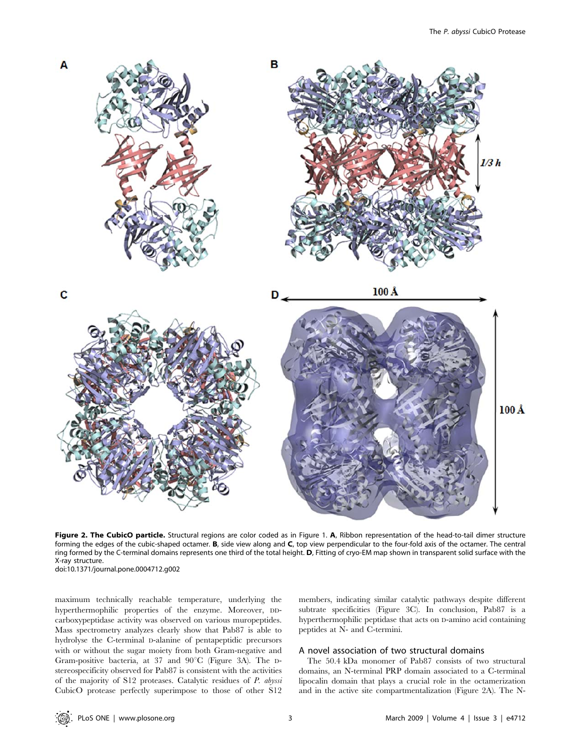

Figure 2. The CubicO particle. Structural regions are color coded as in Figure 1. A, Ribbon representation of the head-to-tail dimer structure forming the edges of the cubic-shaped octamer. B, side view along and C, top view perpendicular to the four-fold axis of the octamer. The central ring formed by the C-terminal domains represents one third of the total height. D, Fitting of cryo-EM map shown in transparent solid surface with the X-ray structure. doi:10.1371/journal.pone.0004712.g002

maximum technically reachable temperature, underlying the hyperthermophilic properties of the enzyme. Moreover, DDcarboxypeptidase activity was observed on various muropeptides. Mass spectrometry analyzes clearly show that Pab87 is able to hydrolyse the C-terminal D-alanine of pentapeptidic precursors with or without the sugar moiety from both Gram-negative and Gram-positive bacteria, at 37 and 90°C (Figure 3A). The Dstereospecificity observed for Pab87 is consistent with the activities of the majority of S12 proteases. Catalytic residues of P. abyssi CubicO protease perfectly superimpose to those of other S12 members, indicating similar catalytic pathways despite different subtrate specificities (Figure 3C). In conclusion, Pab87 is a hyperthermophilic peptidase that acts on D-amino acid containing peptides at N- and C-termini.

## A novel association of two structural domains

The 50.4 kDa monomer of Pab87 consists of two structural domains, an N-terminal PRP domain associated to a C-terminal lipocalin domain that plays a crucial role in the octamerization and in the active site compartmentalization (Figure 2A). The N-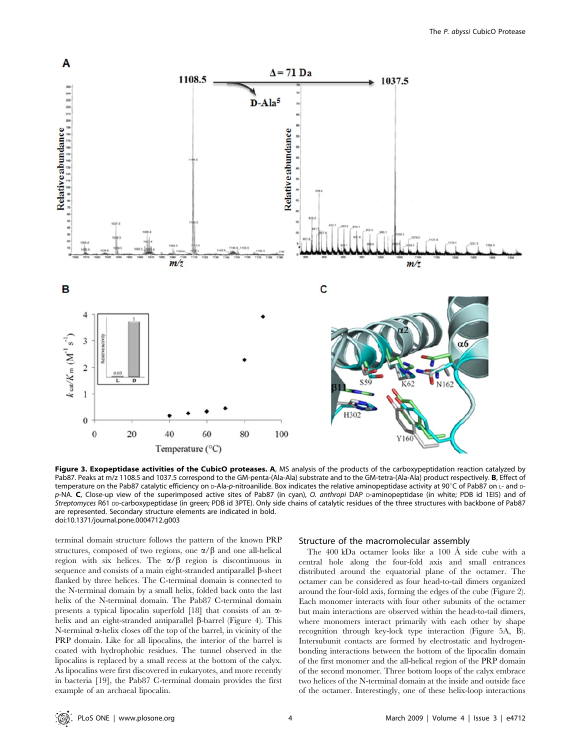

Figure 3. Exopeptidase activities of the CubicO proteases. A, MS analysis of the products of the carboxypeptidation reaction catalyzed by Pab87. Peaks at m/z 1108.5 and 1037.5 correspond to the GM-penta-(Ala-Ala) substrate and to the GM-tetra-(Ala-Ala) product respectively. B, Effect of temperature on the Pab87 catalytic efficiency on D-Ala-p-nitroanilide. Box indicates the relative aminopeptidase activity at 90°C of Pab87 on L- and Dp-NA. C, Close-up view of the superimposed active sites of Pab87 (in cyan), O. anthropi DAP p-aminopeptidase (in white; PDB id 1EI5) and of Streptomyces R61 DD-carboxypeptidase (in green; PDB id 3PTE). Only side chains of catalytic residues of the three structures with backbone of Pab87 are represented. Secondary structure elements are indicated in bold. doi:10.1371/journal.pone.0004712.g003

terminal domain structure follows the pattern of the known PRP structures, composed of two regions, one  $\alpha/\beta$  and one all-helical region with six helices. The  $\alpha/\beta$  region is discontinuous in sequence and consists of a main eight-stranded antiparallel  $\beta$ -sheet flanked by three helices. The C-terminal domain is connected to the N-terminal domain by a small helix, folded back onto the last helix of the N-terminal domain. The Pab87 C-terminal domain presents a typical lipocalin superfold  $[18]$  that consists of an  $\alpha$ helix and an eight-stranded antiparallel  $\beta$ -barrel (Figure 4). This  $N$ -terminal  $\alpha$ -helix closes off the top of the barrel, in vicinity of the PRP domain. Like for all lipocalins, the interior of the barrel is coated with hydrophobic residues. The tunnel observed in the lipocalins is replaced by a small recess at the bottom of the calyx. As lipocalins were first discovered in eukaryotes, and more recently in bacteria [19], the Pab87 C-terminal domain provides the first example of an archaeal lipocalin.

## Structure of the macromolecular assembly

The 400 kDa octamer looks like a 100 Å side cube with a central hole along the four-fold axis and small entrances distributed around the equatorial plane of the octamer. The octamer can be considered as four head-to-tail dimers organized around the four-fold axis, forming the edges of the cube (Figure 2). Each monomer interacts with four other subunits of the octamer but main interactions are observed within the head-to-tail dimers, where monomers interact primarily with each other by shape recognition through key-lock type interaction (Figure 5A, B). Intersubunit contacts are formed by electrostatic and hydrogenbonding interactions between the bottom of the lipocalin domain of the first monomer and the all-helical region of the PRP domain of the second monomer. Three bottom loops of the calyx embrace two helices of the N-terminal domain at the inside and outside face of the octamer. Interestingly, one of these helix-loop interactions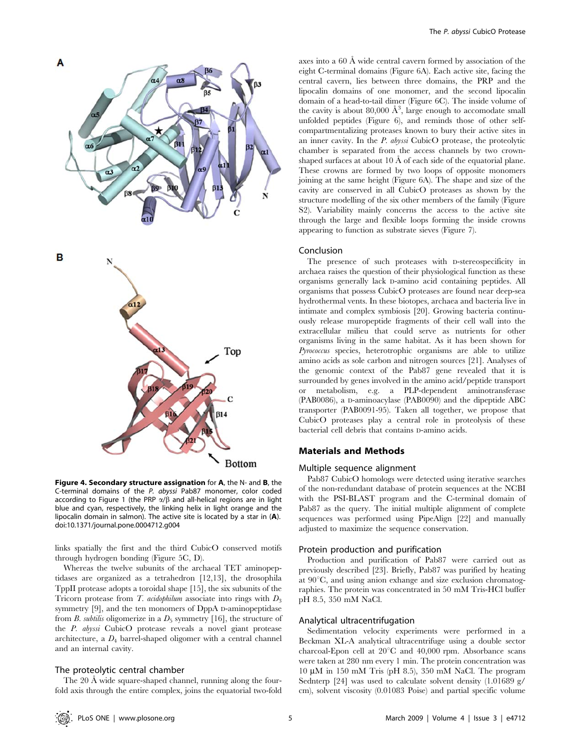

Figure 4. Secondary structure assignation for A, the N- and B, the C-terminal domains of the P. abyssi Pab87 monomer, color coded according to Figure 1 (the PRP  $\alpha/\beta$  and all-helical regions are in light blue and cyan, respectively, the linking helix in light orange and the lipocalin domain in salmon). The active site is located by a star in (A). doi:10.1371/journal.pone.0004712.g004

links spatially the first and the third CubicO conserved motifs through hydrogen bonding (Figure 5C, D).

Whereas the twelve subunits of the archaeal TET aminopeptidases are organized as a tetrahedron [12,13], the drosophila TppII protease adopts a toroidal shape [15], the six subunits of the Tricorn protease from  $T$ . acidophilum associate into rings with  $D_3$ symmetry [9], and the ten monomers of DppA D-aminopeptidase from B. subtilis oligomerize in a  $D_5$  symmetry [16], the structure of the P. abyssi CubicO protease reveals a novel giant protease architecture, a  $D_4$  barrel-shaped oligomer with a central channel and an internal cavity.

### The proteolytic central chamber

The 20 Å wide square-shaped channel, running along the fourfold axis through the entire complex, joins the equatorial two-fold axes into a 60 Å wide central cavern formed by association of the eight C-terminal domains (Figure 6A). Each active site, facing the central cavern, lies between three domains, the PRP and the lipocalin domains of one monomer, and the second lipocalin domain of a head-to-tail dimer (Figure 6C). The inside volume of the cavity is about 80,000  $\AA^3$ , large enough to accomodate small unfolded peptides (Figure 6), and reminds those of other selfcompartmentalizing proteases known to bury their active sites in an inner cavity. In the P. abyssi CubicO protease, the proteolytic chamber is separated from the access channels by two crownshaped surfaces at about 10  $\AA$  of each side of the equatorial plane. These crowns are formed by two loops of opposite monomers joining at the same height (Figure 6A). The shape and size of the cavity are conserved in all CubicO proteases as shown by the structure modelling of the six other members of the family (Figure S2). Variability mainly concerns the access to the active site through the large and flexible loops forming the inside crowns appearing to function as substrate sieves (Figure 7).

## Conclusion

The presence of such proteases with D-stereospecificity in archaea raises the question of their physiological function as these organisms generally lack D-amino acid containing peptides. All organisms that possess CubicO proteases are found near deep-sea hydrothermal vents. In these biotopes, archaea and bacteria live in intimate and complex symbiosis [20]. Growing bacteria continuously release muropeptide fragments of their cell wall into the extracellular milieu that could serve as nutrients for other organisms living in the same habitat. As it has been shown for Pyrococcus species, heterotrophic organisms are able to utilize amino acids as sole carbon and nitrogen sources [21]. Analyses of the genomic context of the Pab87 gene revealed that it is surrounded by genes involved in the amino acid/peptide transport or metabolism, e.g. a PLP-dependent aminotransferase (PAB0086), a D-aminoacylase (PAB0090) and the dipeptide ABC transporter (PAB0091-95). Taken all together, we propose that CubicO proteases play a central role in proteolysis of these bacterial cell debris that contains D-amino acids.

## Materials and Methods

#### Multiple sequence alignment

Pab87 CubicO homologs were detected using iterative searches of the non-redundant database of protein sequences at the NCBI with the PSI-BLAST program and the C-terminal domain of Pab87 as the query. The initial multiple alignment of complete sequences was performed using PipeAlign [22] and manually adjusted to maximize the sequence conservation.

## Protein production and purification

Production and purification of Pab87 were carried out as previously described [23]. Briefly, Pab87 was purified by heating at  $90^{\circ}$ C, and using anion exhange and size exclusion chromatographies. The protein was concentrated in 50 mM Tris-HCl buffer pH 8.5, 350 mM NaCl.

#### Analytical ultracentrifugation

Sedimentation velocity experiments were performed in a Beckman XL-A analytical ultracentrifuge using a double sector charcoal-Epon cell at  $20^{\circ}$ C and  $40,000$  rpm. Absorbance scans were taken at 280 nm every 1 min. The protein concentration was  $10 \mu M$  in  $150 \mu M$  Tris (pH 8.5), 350 mM NaCl. The program Sednterp [24] was used to calculate solvent density (1.01689 g/ cm), solvent viscosity (0.01083 Poise) and partial specific volume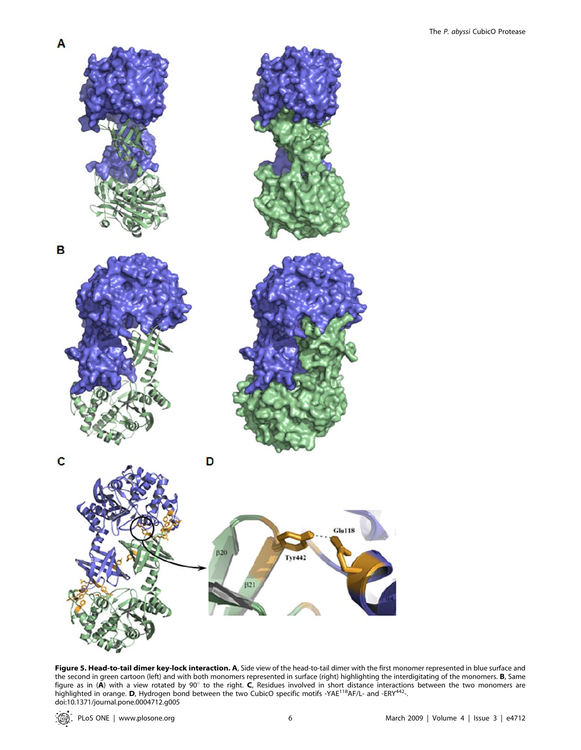

Figure 5. Head-to-tail dimer key-lock interaction. A, Side view of the head-to-tail dimer with the first monomer represented in blue surface and the second in green cartoon (left) and with both monomers represented in surface (right) highlighting the interdigitating of the monomers. **B**, Same figure as in (**A**) with a view rotated by 90° to the right. **C**, Residues involved in short distance interactions between the two monomers are<br>highlighted in orange. **D**, Hydrogen bond between the two CubicO specific motif doi:10.1371/journal.pone.0004712.g005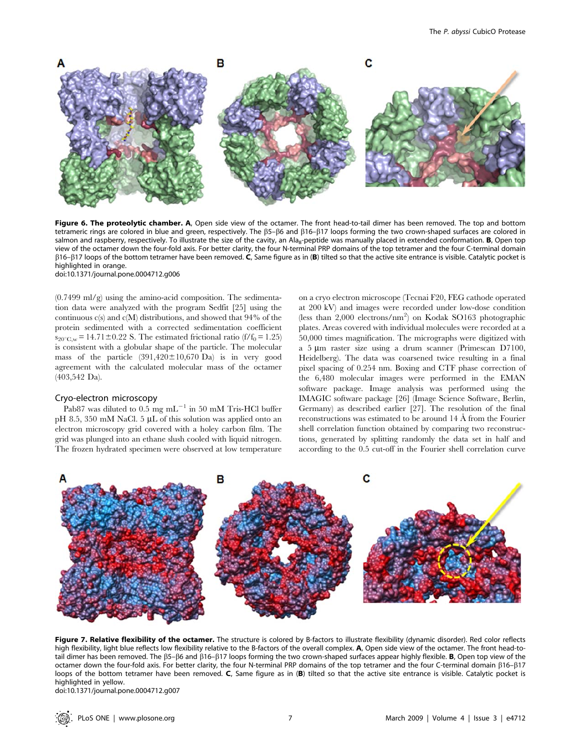

Figure 6. The proteolytic chamber. A, Open side view of the octamer. The front head-to-tail dimer has been removed. The top and bottom tetrameric rings are colored in blue and green, respectively. The β5-β6 and β16-β17 loops forming the two crown-shaped surfaces are colored in salmon and raspberry, respectively. To illustrate the size of the cavity, an Ala<sub>8</sub>-peptide was manually placed in extended conformation. **B**, Open top view of the octamer down the four-fold axis. For better clarity, the four N-terminal PRP domains of the top tetramer and the four C-terminal domain  $\beta$ 16– $\beta$ 17 loops of the bottom tetramer have been removed. C, Same figure as in (B) tilted so that the active site entrance is visible. Catalytic pocket is highlighted in orange. doi:10.1371/journal.pone.0004712.g006

 $(0.7499 \text{ ml/g})$  using the amino-acid composition. The sedimentation data were analyzed with the program Sedfit [25] using the continuous  $c(s)$  and  $c(M)$  distributions, and showed that 94% of the protein sedimented with a corrected sedimentation coefficient  $s_{20\degree \text{C},w} = 14.71 \pm 0.22$  S. The estimated frictional ratio (f/f<sub>0</sub> = 1.25) is consistent with a globular shape of the particle. The molecular mass of the particle  $(391,420 \pm 10,670)$  Da) is in very good agreement with the calculated molecular mass of the octamer (403,542 Da).

#### Cryo-electron microscopy

Pab87 was diluted to  $0.5 \text{ mg } \text{mL}^{-1}$  in 50 mM Tris-HCl buffer pH 8.5, 350 mM NaCl. 5  $\mu$ L of this solution was applied onto an electron microscopy grid covered with a holey carbon film. The grid was plunged into an ethane slush cooled with liquid nitrogen. The frozen hydrated specimen were observed at low temperature on a cryo electron microscope (Tecnai F20, FEG cathode operated at 200 kV) and images were recorded under low-dose condition (less than 2,000 electrons/nm<sup>2</sup>) on Kodak SO163 photographic plates. Areas covered with individual molecules were recorded at a 50,000 times magnification. The micrographs were digitized with a 5  $\mu$ m raster size using a drum scanner (Primescan D7100, Heidelberg). The data was coarsened twice resulting in a final pixel spacing of 0.254 nm. Boxing and CTF phase correction of the 6,480 molecular images were performed in the EMAN software package. Image analysis was performed using the IMAGIC software package [26] (Image Science Software, Berlin, Germany) as described earlier [27]. The resolution of the final reconstructions was estimated to be around 14 Å from the Fourier shell correlation function obtained by comparing two reconstructions, generated by splitting randomly the data set in half and according to the 0.5 cut-off in the Fourier shell correlation curve



Figure 7. Relative flexibility of the octamer. The structure is colored by B-factors to illustrate flexibility (dynamic disorder). Red color reflects high flexibility, light blue reflects low flexibility relative to the B-factors of the overall complex. A, Open side view of the octamer. The front head-totail dimer has been removed. The  $\beta$ 5– $\beta$ 6 and  $\beta$ 16– $\beta$ 17 loops forming the two crown-shaped surfaces appear highly flexible. **B**, Open top view of the octamer down the four-fold axis. For better clarity, the four N-terminal PRP domains of the top tetramer and the four C-terminal domain b16–b17 loops of the bottom tetramer have been removed. C, Same figure as in (B) tilted so that the active site entrance is visible. Catalytic pocket is highlighted in yellow.

doi:10.1371/journal.pone.0004712.g007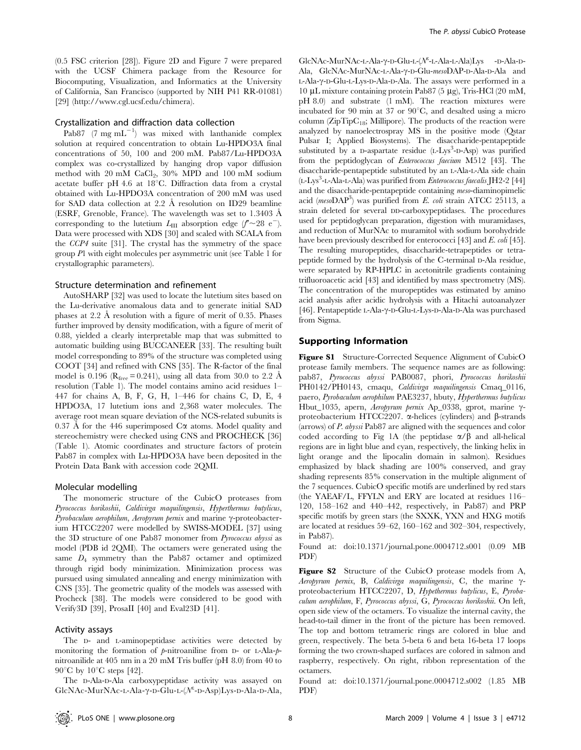(0.5 FSC criterion [28]). Figure 2D and Figure 7 were prepared with the UCSF Chimera package from the Resource for Biocomputing, Visualization, and Informatics at the University of California, San Francisco (supported by NIH P41 RR-01081) [29] (http://www.cgl.ucsf.edu/chimera).

## Crystallization and diffraction data collection

Pab87  $(7 \text{ mg } \text{mL}^{-1})$  was mixed with lanthanide complex solution at required concentration to obtain Lu-HPDO3A final concentrations of 50, 100 and 200 mM. Pab87/Lu-HPDO3A complex was co-crystallized by hanging drop vapor diffusion method with 20 mM CaCl<sub>2</sub>, 30% MPD and 100 mM sodium acetate buffer pH 4.6 at 18 $^{\circ}$ C. Diffraction data from a crystal obtained with Lu-HPDO3A concentration of 200 mM was used for SAD data collection at 2.2  $\AA$  resolution on ID29 beamline (ESRF, Grenoble, France). The wavelength was set to 1.3403 Å corresponding to the lutetium  $L_{\text{III}}$  absorption edge  $(f^{\prime} \sim 28 \text{ e}^{-})$ . Data were processed with XDS [30] and scaled with SCALA from the CCP4 suite [31]. The crystal has the symmetry of the space group P1 with eight molecules per asymmetric unit (see Table 1 for crystallographic parameters).

## Structure determination and refinement

AutoSHARP [32] was used to locate the lutetium sites based on the Lu-derivative anomalous data and to generate initial SAD phases at  $2.2$  Å resolution with a figure of merit of 0.35. Phases further improved by density modification, with a figure of merit of 0.88, yielded a clearly interpretable map that was submitted to automatic building using BUCCANEER [33]. The resulting built model corresponding to 89% of the structure was completed using COOT [34] and refined with CNS [35]. The R-factor of the final model is 0.196 ( $R_{\text{free}} = 0.241$ ), using all data from 30.0 to 2.2 Å resolution (Table 1). The model contains amino acid residues 1– 447 for chains A, B, F, G, H, 1–446 for chains C, D, E, 4 HPDO3A, 17 lutetium ions and 2,368 water molecules. The average root mean square deviation of the NCS-related subunits is 0.37 Å for the 446 superimposed  $C\alpha$  atoms. Model quality and stereochemistry were checked using CNS and PROCHECK [36] (Table 1). Atomic coordinates and structure factors of protein Pab87 in complex with Lu-HPDO3A have been deposited in the Protein Data Bank with accession code 2QMI.

### Molecular modelling

The monomeric structure of the CubicO proteases from Pyrococcus horikoshii, Caldivirga maquilingensis, Hyperthermus butylicus, Pyrobaculum aerophilum, Aeropyrum pernix and marine  $\gamma$ -proteobacterium HTCC2207 were modelled by SWISS-MODEL [37] using the 3D structure of one Pab87 monomer from Pyrococcus abyssi as model (PDB id 2QMI). The octamers were generated using the same  $D_4$  symmetry than the Pab87 octamer and optimized through rigid body minimization. Minimization process was pursued using simulated annealing and energy minimization with CNS [35]. The geometric quality of the models was assessed with Procheck [38]. The models were considered to be good with Verify3D [39], ProsaII [40] and Eval23D [41].

#### Activity assays

The D- and L-aminopeptidase activities were detected by monitoring the formation of p-nitroaniline from D- or L-Ala-pnitroanilide at 405 nm in a 20 mM Tris buffer (pH 8.0) from 40 to  $90^{\circ}$ C by  $10^{\circ}$ C steps [42].

The D-Ala-D-Ala carboxypeptidase activity was assayed on  $GlcNAc-MurNAc-L-Ala- $\gamma$ -D-Glu-L( $\mathcal{N}^{\epsilon}$ -D-Asp)Lys-D-Ala-D-Ala,$ 

GlcNAc-MurNAc-L-Ala-γ-D-Glu-L-(N<sup>ε</sup>-L-Ala-L-Ala)Lys -D-Ala-D-Ala, GlcNAc-MurNAc-L-Ala-γ-D-Glu-mesoDAP-D-Ala-D-Ala and L-Ala- $\gamma$ -D-Glu-L-Lys-D-Ala-D-Ala. The assays were performed in a 10 mL mixture containing protein Pab87 (5 mg), Tris-HCl (20 mM, pH 8.0) and substrate (1 mM). The reaction mixtures were incubated for 90 min at 37 or  $90^{\circ}$ C, and desalted using a micro column ( $\rm{ZipTipC}_{18}$ ; Millipore). The products of the reaction were analyzed by nanoelectrospray MS in the positive mode (Qstar Pulsar I; Applied Biosystems). The disaccharide-pentapeptide substituted by a D-aspartate residue (L-Lys<sup>3</sup>-D-Asp) was purified from the peptidoglycan of Enterococcus faecium M512 [43]. The disaccharide-pentapeptide substituted by an L-Ala-L-Ala side chain (L-Lys<sup>3</sup>-L-Ala-L-Ala) was purified from *Enterococcus faecalis* JH2-2 [44] and the disaccharide-pentapeptide containing meso-diaminopimelic acid (mesoDAP<sup>3</sup>) was purified from E. coli strain ATCC 25113, a strain deleted for several DD-carboxypeptidases. The procedures used for peptidoglycan preparation, digestion with muramidases, and reduction of MurNAc to muramitol with sodium borohydride have been previously described for enterococci [43] and E. coli [45]. The resulting muropeptides, disaccharide-tetrapeptides or tetrapeptide formed by the hydrolysis of the C-terminal D-Ala residue, were separated by RP-HPLC in acetonitrile gradients containing trifluoroacetic acid [43] and identified by mass spectrometry (MS). The concentration of the muropeptides was estimated by amino acid analysis after acidic hydrolysis with a Hitachi autoanalyzer [46]. Pentapeptide L-Ala-y-D-Glu-L-Lys-D-Ala-D-Ala was purchased from Sigma.

### Supporting Information

Figure S1 Structure-Corrected Sequence Alignment of CubicO protease family members. The sequence names are as following: pab87, Pyrococcus abyssi PAB0087, phori, Pyrococcus horikoshii PH0142/PH0143, cmaqu, Caldivirga maquilingensis Cmaq\_0116, paero, Pyrobaculum aerophilum PAE3237, hbuty, Hyperthermus butylicus Hbut\_1035, apern, Aeropyrum pernix Ap\_0338, gprot, marine  $\gamma$ proteobacterium HTCC2207.  $\alpha$ -helices (cylinders) and  $\beta$ -strands (arrows) of P. abyssi Pab87 are aligned with the sequences and color coded according to Fig 1A (the peptidase  $\alpha/\beta$  and all-helical regions are in light blue and cyan, respectively, the linking helix in light orange and the lipocalin domain in salmon). Residues emphasized by black shading are 100% conserved, and gray shading represents 85% conservation in the multiple alignment of the 7 sequences. CubicO specific motifs are underlined by red stars (the YAEAF/L, FFYLN and ERY are located at residues 116– 120, 158–162 and 440–442, respectively, in Pab87) and PRP specific motifs by green stars (the SXXK, YXN and HXG motifs are located at residues 59–62, 160–162 and 302–304, respectively, in Pab87).

Found at: doi:10.1371/journal.pone.0004712.s001 (0.09 MB PDF)

Figure S2 Structure of the CubicO protease models from A, Aeropyrum pernix, B, Caldivirga maquilingensis, C, the marine  $\gamma$ proteobacterium HTCC2207, D, Hypethermus butylicus, E, Pyrobaculum aerophilum, F, Pyrococcus abyssi, G, Pyrococcus horikoshii. On left, open side view of the octamers. To visualize the internal cavity, the head-to-tail dimer in the front of the picture has been removed. The top and bottom tetrameric rings are colored in blue and green, respectively. The beta 5-beta 6 and beta 16-beta 17 loops forming the two crown-shaped surfaces are colored in salmon and raspberry, respectively. On right, ribbon representation of the octamers.

Found at: doi:10.1371/journal.pone.0004712.s002 (1.85 MB PDF)